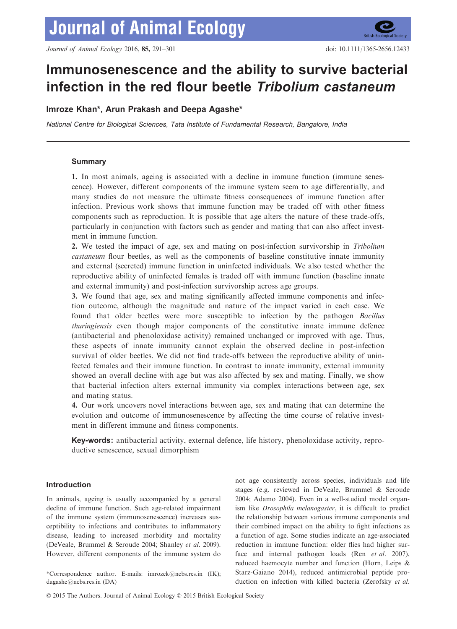# Immunosenescence and the ability to survive bacterial infection in the red flour beetle Tribolium castaneum

# Imroze Khan\*, Arun Prakash and Deepa Agashe\*

National Centre for Biological Sciences, Tata Institute of Fundamental Research, Bangalore, India

# Summary

1. In most animals, ageing is associated with a decline in immune function (immune senescence). However, different components of the immune system seem to age differentially, and many studies do not measure the ultimate fitness consequences of immune function after infection. Previous work shows that immune function may be traded off with other fitness components such as reproduction. It is possible that age alters the nature of these trade-offs, particularly in conjunction with factors such as gender and mating that can also affect investment in immune function.

2. We tested the impact of age, sex and mating on post-infection survivorship in Tribolium castaneum flour beetles, as well as the components of baseline constitutive innate immunity and external (secreted) immune function in uninfected individuals. We also tested whether the reproductive ability of uninfected females is traded off with immune function (baseline innate and external immunity) and post-infection survivorship across age groups.

3. We found that age, sex and mating significantly affected immune components and infection outcome, although the magnitude and nature of the impact varied in each case. We found that older beetles were more susceptible to infection by the pathogen Bacillus thuringiensis even though major components of the constitutive innate immune defence (antibacterial and phenoloxidase activity) remained unchanged or improved with age. Thus, these aspects of innate immunity cannot explain the observed decline in post-infection survival of older beetles. We did not find trade-offs between the reproductive ability of uninfected females and their immune function. In contrast to innate immunity, external immunity showed an overall decline with age but was also affected by sex and mating. Finally, we show that bacterial infection alters external immunity via complex interactions between age, sex and mating status.

4. Our work uncovers novel interactions between age, sex and mating that can determine the evolution and outcome of immunosenescence by affecting the time course of relative investment in different immune and fitness components.

Key-words: antibacterial activity, external defence, life history, phenoloxidase activity, reproductive senescence, sexual dimorphism

# Introduction

In animals, ageing is usually accompanied by a general decline of immune function. Such age-related impairment of the immune system (immunosenescence) increases susceptibility to infections and contributes to inflammatory disease, leading to increased morbidity and mortality (DeVeale, Brummel & Seroude 2004; Shanley et al. 2009). However, different components of the immune system do

\*Correspondence author. E-mails: imrozek@ncbs.res.in (IK); dagashe@ncbs.res.in (DA)

not age consistently across species, individuals and life stages (e.g. reviewed in DeVeale, Brummel & Seroude 2004; Adamo 2004). Even in a well-studied model organism like Drosophila melanogaster, it is difficult to predict the relationship between various immune components and their combined impact on the ability to fight infections as a function of age. Some studies indicate an age-associated reduction in immune function: older flies had higher surface and internal pathogen loads (Ren et al. 2007), reduced haemocyte number and function (Horn, Leips & Starz-Gaiano 2014), reduced antimicrobial peptide production on infection with killed bacteria (Zerofsky et al.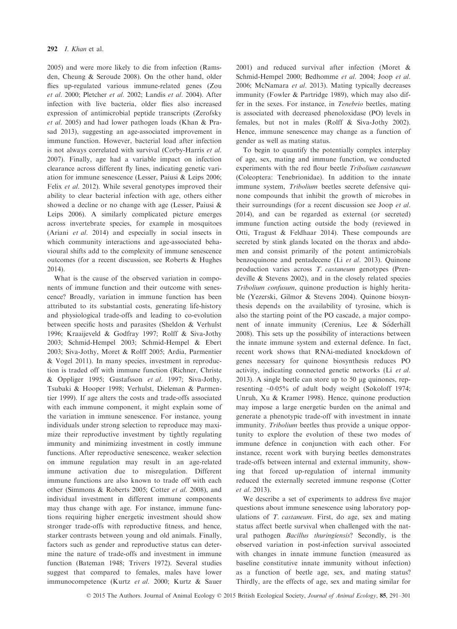2005) and were more likely to die from infection (Ramsden, Cheung & Seroude 2008). On the other hand, older flies up-regulated various immune-related genes (Zou et al. 2000; Pletcher et al. 2002; Landis et al. 2004). After infection with live bacteria, older flies also increased expression of antimicrobial peptide transcripts (Zerofsky et al. 2005) and had lower pathogen loads (Khan & Prasad 2013), suggesting an age-associated improvement in immune function. However, bacterial load after infection is not always correlated with survival (Corby-Harris et al. 2007). Finally, age had a variable impact on infection clearance across different fly lines, indicating genetic variation for immune senescence (Lesser, Paiusi & Leips 2006; Felix et al. 2012). While several genotypes improved their ability to clear bacterial infection with age, others either showed a decline or no change with age (Lesser, Paiusi & Leips 2006). A similarly complicated picture emerges across invertebrate species, for example in mosquitoes (Ariani et al. 2014) and especially in social insects in which community interactions and age-associated behavioural shifts add to the complexity of immune senescence outcomes (for a recent discussion, see Roberts & Hughes 2014).

What is the cause of the observed variation in components of immune function and their outcome with senescence? Broadly, variation in immune function has been attributed to its substantial costs, generating life-history and physiological trade-offs and leading to co-evolution between specific hosts and parasites (Sheldon & Verhulst 1996; Kraaijeveld & Godfray 1997; Rolff & Siva-Jothy 2003; Schmid-Hempel 2003; Schmid-Hempel & Ebert 2003; Siva-Jothy, Moret & Rolff 2005; Ardia, Parmentier & Vogel 2011). In many species, investment in reproduction is traded off with immune function (Richner, Christe & Oppliger 1995; Gustafsson et al. 1997; Siva-Jothy, Tsubaki & Hooper 1998; Verhulst, Dieleman & Parmentier 1999). If age alters the costs and trade-offs associated with each immune component, it might explain some of the variation in immune senescence. For instance, young individuals under strong selection to reproduce may maximize their reproductive investment by tightly regulating immunity and minimizing investment in costly immune functions. After reproductive senescence, weaker selection on immune regulation may result in an age-related immune activation due to misregulation. Different immune functions are also known to trade off with each other (Simmons & Roberts 2005; Cotter et al. 2008), and individual investment in different immune components may thus change with age. For instance, immune functions requiring higher energetic investment should show stronger trade-offs with reproductive fitness, and hence, starker contrasts between young and old animals. Finally, factors such as gender and reproductive status can determine the nature of trade-offs and investment in immune function (Bateman 1948; Trivers 1972). Several studies suggest that compared to females, males have lower immunocompetence (Kurtz et al. 2000; Kurtz & Sauer

2001) and reduced survival after infection (Moret & Schmid-Hempel 2000; Bedhomme et al. 2004; Joop et al. 2006; McNamara et al. 2013). Mating typically decreases immunity (Fowler & Partridge 1989), which may also differ in the sexes. For instance, in Tenebrio beetles, mating is associated with decreased phenoloxidase (PO) levels in females, but not in males (Rolff & Siva-Jothy 2002). Hence, immune senescence may change as a function of gender as well as mating status.

To begin to quantify the potentially complex interplay of age, sex, mating and immune function, we conducted experiments with the red flour beetle Tribolium castaneum (Coleoptera: Tenebrionidae). In addition to the innate immune system, *Tribolium* beetles secrete defensive quinone compounds that inhibit the growth of microbes in their surroundings (for a recent discussion see Joop et al. 2014), and can be regarded as external (or secreted) immune function acting outside the body (reviewed in Otti, Tragust & Feldhaar 2014). These compounds are secreted by stink glands located on the thorax and abdomen and consist primarily of the potent antimicrobials benzoquinone and pentadecene (Li et al. 2013). Quinone production varies across T. castaneum genotypes (Prendeville & Stevens 2002), and in the closely related species Tribolium confusum, quinone production is highly heritable (Yezerski, Gilmor & Stevens 2004). Quinone biosynthesis depends on the availability of tyrosine, which is also the starting point of the PO cascade, a major component of innate immunity (Cerenius, Lee & Soderhall 2008). This sets up the possibility of interactions between the innate immune system and external defence. In fact, recent work shows that RNAi-mediated knockdown of genes necessary for quinone biosynthesis reduces PO activity, indicating connected genetic networks (Li et al. 2013). A single beetle can store up to  $50 \mu$ g quinones, representing ~0.05% of adult body weight (Sokoloff 1974; Unruh, Xu & Kramer 1998). Hence, quinone production may impose a large energetic burden on the animal and generate a phenotypic trade-off with investment in innate immunity. Tribolium beetles thus provide a unique opportunity to explore the evolution of these two modes of immune defence in conjunction with each other. For instance, recent work with burying beetles demonstrates trade-offs between internal and external immunity, showing that forced up-regulation of internal immunity reduced the externally secreted immune response (Cotter et al. 2013).

We describe a set of experiments to address five major questions about immune senescence using laboratory populations of T. castaneum. First, do age, sex and mating status affect beetle survival when challenged with the natural pathogen Bacillus thuringiensis? Secondly, is the observed variation in post-infection survival associated with changes in innate immune function (measured as baseline constitutive innate immunity without infection) as a function of beetle age, sex, and mating status? Thirdly, are the effects of age, sex and mating similar for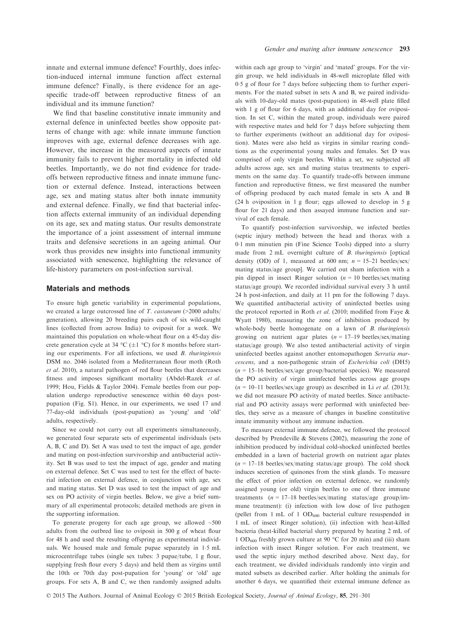innate and external immune defence? Fourthly, does infection-induced internal immune function affect external immune defence? Finally, is there evidence for an agespecific trade-off between reproductive fitness of an individual and its immune function?

We find that baseline constitutive innate immunity and external defence in uninfected beetles show opposite patterns of change with age: while innate immune function improves with age, external defence decreases with age. However, the increase in the measured aspects of innate immunity fails to prevent higher mortality in infected old beetles. Importantly, we do not find evidence for tradeoffs between reproductive fitness and innate immune function or external defence. Instead, interactions between age, sex and mating status alter both innate immunity and external defence. Finally, we find that bacterial infection affects external immunity of an individual depending on its age, sex and mating status. Our results demonstrate the importance of a joint assessment of internal immune traits and defensive secretions in an ageing animal. Our work thus provides new insights into functional immunity associated with senescence, highlighting the relevance of life-history parameters on post-infection survival.

### Materials and methods

To ensure high genetic variability in experimental populations, we created a large outcrossed line of T. castaneum (>2000 adults/ generation), allowing 20 breeding pairs each of six wild-caught lines (collected from across India) to oviposit for a week. We maintained this population on whole-wheat flour on a 45-day discrete generation cycle at 34 °C ( $\pm$ 1 °C) for 8 months before starting our experiments. For all infections, we used B. thuringiensis DSM no. 2046 isolated from a Mediterranean flour moth (Roth et al. 2010), a natural pathogen of red flour beetles that decreases fitness and imposes significant mortality (Abdel-Razek et al. 1999; Hou, Fields & Taylor 2004). Female beetles from our population undergo reproductive senescence within 60 days postpupation (Fig. S1). Hence, in our experiments, we used 17 and 77-day-old individuals (post-pupation) as 'young' and 'old' adults, respectively.

Since we could not carry out all experiments simultaneously, we generated four separate sets of experimental individuals (sets A, B, C and D). Set A was used to test the impact of age, gender and mating on post-infection survivorship and antibacterial activity. Set B was used to test the impact of age, gender and mating on external defence. Set C was used to test for the effect of bacterial infection on external defence, in conjunction with age, sex and mating status. Set D was used to test the impact of age and sex on PO activity of virgin beetles. Below, we give a brief summary of all experimental protocols; detailed methods are given in the supporting information.

To generate progeny for each age group, we allowed  $~500$ adults from the outbred line to oviposit in 500 g of wheat flour for 48 h and used the resulting offspring as experimental individuals. We housed male and female pupae separately in 15 mL microcentrifuge tubes (single sex tubes: 3 pupae/tube, 1 g flour, supplying fresh flour every 5 days) and held them as virgins until the 10th or 70th day post-pupation for 'young' or 'old' age groups. For sets A, B and C, we then randomly assigned adults

within each age group to 'virgin' and 'mated' groups. For the virgin group, we held individuals in 48-well microplate filled with 05 g of flour for 7 days before subjecting them to further experiments. For the mated subset in sets A and B, we paired individuals with 10-day-old mates (post-pupation) in 48-well plate filled with 1 g of flour for 6 days, with an additional day for oviposition. In set C, within the mated group, individuals were paired with respective mates and held for 7 days before subjecting them to further experiments (without an additional day for oviposition). Mates were also held as virgins in similar rearing conditions as the experimental young males and females. Set D was comprised of only virgin beetles. Within a set, we subjected all adults across age, sex and mating status treatments to experiments on the same day. To quantify trade-offs between immune function and reproductive fitness, we first measured the number of offspring produced by each mated female in sets A and B (24 h oviposition in 1 g flour; eggs allowed to develop in 5 g flour for 21 days) and then assayed immune function and survival of each female.

To quantify post-infection survivorship, we infected beetles (septic injury method) between the head and thorax with a 01 mm minutien pin (Fine Science Tools) dipped into a slurry made from 2 mL overnight culture of B. thuringiensis [optical density (OD) of 1, measured at 600 nm;  $n = 15-21$  beetles/sex/ mating status/age group]. We carried out sham infection with a pin dipped in insect Ringer solution ( $n = 10$  beetles/sex/mating status/age group). We recorded individual survival every 3 h until 24 h post-infection, and daily at 11 pm for the following 7 days. We quantified antibacterial activity of uninfected beetles using the protocol reported in Roth et al. (2010; modified from Faye & Wyatt 1980), measuring the zone of inhibition produced by whole-body beetle homogenate on a lawn of *B. thuringiensis* growing on nutrient agar plates ( $n = 17-19$  beetles/sex/mating status/age group). We also tested antibacterial activity of virgin uninfected beetles against another entomopathogen Serratia marcescens, and a non-pathogenic strain of Escherichia coli (DH5)  $(n = 15-16$  beetles/sex/age group/bacterial species). We measured the PO activity of virgin uninfected beetles across age groups  $(n = 10-11$  beetles/sex/age group) as described in Li et al. (2013); we did not measure PO activity of mated beetles. Since antibacterial and PO activity assays were performed with uninfected beetles, they serve as a measure of changes in baseline constitutive innate immunity without any immune induction.

To measure external immune defence, we followed the protocol described by Prendeville & Stevens (2002), measuring the zone of inhibition produced by individual cold-shocked uninfected beetles embedded in a lawn of bacterial growth on nutrient agar plates  $(n = 17-18$  beetles/sex/mating status/age group). The cold shock induces secretion of quinones from the stink glands. To measure the effect of prior infection on external defence, we randomly assigned young (or old) virgin beetles to one of three immune treatments ( $n = 17-18$  beetles/sex/mating status/age group/immune treatment): (i) infection with low dose of live pathogen (pellet from 1 mL of 1  $OD_{600}$  bacterial culture resuspended in 1 mL of insect Ringer solution), (ii) infection with heat-killed bacteria (heat-killed bacterial slurry prepared by heating 2 mL of 1 OD<sub>600</sub> freshly grown culture at 90 °C for 20 min) and (iii) sham infection with insect Ringer solution. For each treatment, we used the septic injury method described above. Next day, for each treatment, we divided individuals randomly into virgin and mated subsets as described earlier. After holding the animals for another 6 days, we quantified their external immune defence as

© 2015 The Authors. Journal of Animal Ecology © 2015 British Ecological Society, Journal of Animal Ecology, 85, 291-301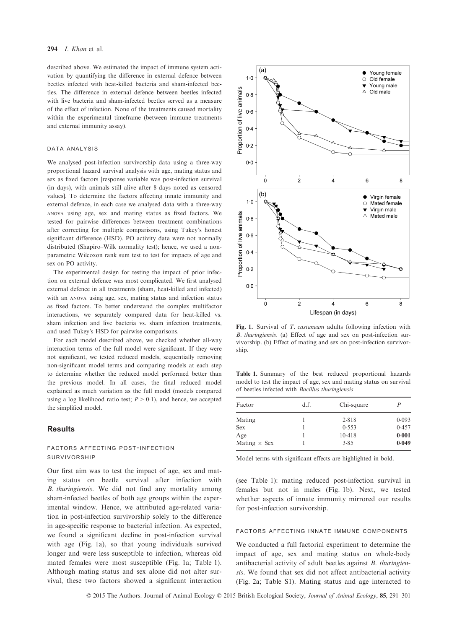#### 294  $I.$  Khan et al.

described above. We estimated the impact of immune system activation by quantifying the difference in external defence between beetles infected with heat-killed bacteria and sham-infected beetles. The difference in external defence between beetles infected with live bacteria and sham-infected beetles served as a measure of the effect of infection. None of the treatments caused mortality within the experimental timeframe (between immune treatments and external immunity assay).

#### data analysis

We analysed post-infection survivorship data using a three-way proportional hazard survival analysis with age, mating status and sex as fixed factors [response variable was post-infection survival (in days), with animals still alive after 8 days noted as censored values]. To determine the factors affecting innate immunity and external defence, in each case we analysed data with a three-way ANOVA using age, sex and mating status as fixed factors. We tested for pairwise differences between treatment combinations after correcting for multiple comparisons, using Tukey's honest significant difference (HSD). PO activity data were not normally distributed (Shapiro–Wilk normality test); hence, we used a nonparametric Wilcoxon rank sum test to test for impacts of age and sex on PO activity.

The experimental design for testing the impact of prior infection on external defence was most complicated. We first analysed external defence in all treatments (sham, heat-killed and infected) with an ANOVA using age, sex, mating status and infection status as fixed factors. To better understand the complex multifactor interactions, we separately compared data for heat-killed vs. sham infection and live bacteria vs. sham infection treatments, and used Tukey's HSD for pairwise comparisons.

For each model described above, we checked whether all-way interaction terms of the full model were significant. If they were not significant, we tested reduced models, sequentially removing non-significant model terms and comparing models at each step to determine whether the reduced model performed better than the previous model. In all cases, the final reduced model explained as much variation as the full model (models compared using a log likelihood ratio test;  $P > 0.1$ ), and hence, we accepted the simplified model.

# **Results**

# factors affecting post-infection survivorship

Our first aim was to test the impact of age, sex and mating status on beetle survival after infection with B. thuringiensis. We did not find any mortality among sham-infected beetles of both age groups within the experimental window. Hence, we attributed age-related variation in post-infection survivorship solely to the difference in age-specific response to bacterial infection. As expected, we found a significant decline in post-infection survival with age (Fig. 1a), so that young individuals survived longer and were less susceptible to infection, whereas old mated females were most susceptible (Fig. 1a; Table 1). Although mating status and sex alone did not alter survival, these two factors showed a significant interaction



Fig. 1. Survival of T. castaneum adults following infection with B. thuringiensis. (a) Effect of age and sex on post-infection survivorship. (b) Effect of mating and sex on post-infection survivorship.

Table 1. Summary of the best reduced proportional hazards model to test the impact of age, sex and mating status on survival of beetles infected with Bacillus thuringiensis

| Factor              | d.f. | Chi-square | P     |
|---------------------|------|------------|-------|
| Mating              |      | 2.818      | 0.093 |
| <b>Sex</b>          |      | 0.553      | 0.457 |
| Age                 |      | 10.418     | 0.001 |
| Mating $\times$ Sex |      | 3.85       | 0.049 |

Model terms with significant effects are highlighted in bold.

(see Table 1): mating reduced post-infection survival in females but not in males (Fig. 1b). Next, we tested whether aspects of innate immunity mirrored our results for post-infection survivorship.

#### factors affecting innate immune components

We conducted a full factorial experiment to determine the impact of age, sex and mating status on whole-body antibacterial activity of adult beetles against B. thuringiensis. We found that sex did not affect antibacterial activity (Fig. 2a; Table S1). Mating status and age interacted to

© 2015 The Authors. Journal of Animal Ecology © 2015 British Ecological Society, Journal of Animal Ecology, 85, 291–301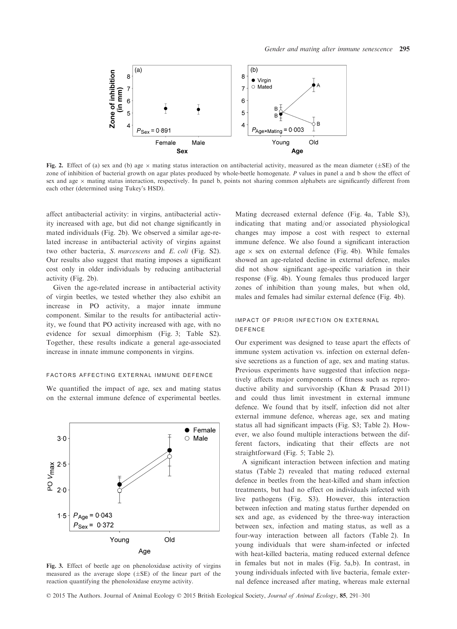

Fig. 2. Effect of (a) sex and (b) age  $\times$  mating status interaction on antibacterial activity, measured as the mean diameter ( $\pm$ SE) of the zone of inhibition of bacterial growth on agar plates produced by whole-beetle homogenate. P values in panel a and b show the effect of sex and age  $\times$  mating status interaction, respectively. In panel b, points not sharing common alphabets are significantly different from each other (determined using Tukey's HSD).

affect antibacterial activity: in virgins, antibacterial activity increased with age, but did not change significantly in mated individuals (Fig. 2b). We observed a similar age-related increase in antibacterial activity of virgins against two other bacteria, S. marcescens and E. coli (Fig. S2). Our results also suggest that mating imposes a significant cost only in older individuals by reducing antibacterial activity (Fig. 2b).

Given the age-related increase in antibacterial activity of virgin beetles, we tested whether they also exhibit an increase in PO activity, a major innate immune component. Similar to the results for antibacterial activity, we found that PO activity increased with age, with no evidence for sexual dimorphism (Fig. 3; Table S2). Together, these results indicate a general age-associated increase in innate immune components in virgins.

#### factors affecting external immune defence

We quantified the impact of age, sex and mating status on the external immune defence of experimental beetles.



Fig. 3. Effect of beetle age on phenoloxidase activity of virgins measured as the average slope  $(\pm SE)$  of the linear part of the reaction quantifying the phenoloxidase enzyme activity.

Mating decreased external defence (Fig. 4a, Table S3), indicating that mating and/or associated physiological changes may impose a cost with respect to external immune defence. We also found a significant interaction age  $\times$  sex on external defence (Fig. 4b). While females showed an age-related decline in external defence, males did not show significant age-specific variation in their response (Fig. 4b). Young females thus produced larger zones of inhibition than young males, but when old, males and females had similar external defence (Fig. 4b).

# impact of prior infection on external defence

Our experiment was designed to tease apart the effects of immune system activation vs. infection on external defensive secretions as a function of age, sex and mating status. Previous experiments have suggested that infection negatively affects major components of fitness such as reproductive ability and survivorship (Khan & Prasad 2011) and could thus limit investment in external immune defence. We found that by itself, infection did not alter external immune defence, whereas age, sex and mating status all had significant impacts (Fig. S3; Table 2). However, we also found multiple interactions between the different factors, indicating that their effects are not straightforward (Fig. 5; Table 2).

A significant interaction between infection and mating status (Table 2) revealed that mating reduced external defence in beetles from the heat-killed and sham infection treatments, but had no effect on individuals infected with live pathogens (Fig. S3). However, this interaction between infection and mating status further depended on sex and age, as evidenced by the three-way interaction between sex, infection and mating status, as well as a four-way interaction between all factors (Table 2). In young individuals that were sham-infected or infected with heat-killed bacteria, mating reduced external defence in females but not in males (Fig. 5a,b). In contrast, in young individuals infected with live bacteria, female external defence increased after mating, whereas male external

© 2015 The Authors. Journal of Animal Ecology © 2015 British Ecological Society, Journal of Animal Ecology, 85, 291-301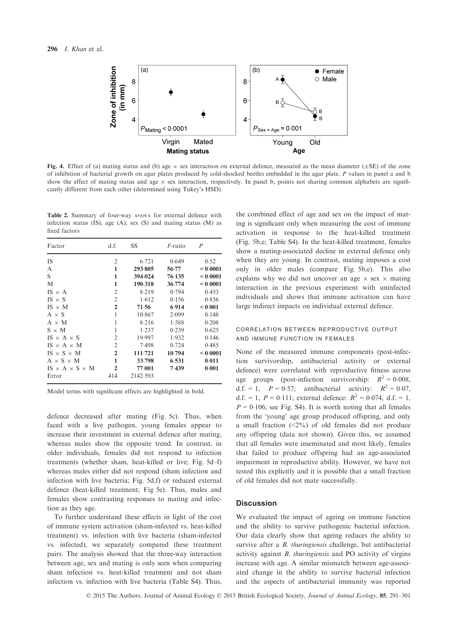

Fig. 4. Effect of (a) mating status and (b) age  $\times$  sex interaction on external defence, measured as the mean diameter ( $\pm$ SE) of the zone of inhibition of bacterial growth on agar plates produced by cold-shocked beetles embedded in the agar plate. P values in panel a and b show the effect of mating status and age  $\times$  sex interaction, respectively. In panel b, points not sharing common alphabets are significantly different from each other (determined using Tukey's HSD).

Table 2. Summary of four-way ANOVA for external defence with infection status (IS), age (A), sex (S) and mating status (M) as fixed factors

| Factor                          | d.f.           | SS       | <i>F</i> -ratio | P        |
|---------------------------------|----------------|----------|-----------------|----------|
| <b>IS</b>                       | $\overline{2}$ | 6.721    | 0.649           | 0.52     |
| A                               | 1              | 293.805  | 56.77           | < 0.0001 |
| S                               | 1              | 394.024  | 76.135          | < 0.0001 |
| M                               | 1              | 190.318  | 36.774          | < 0.0001 |
| $IS \times A$                   | $\overline{2}$ | 8.219    | 0.794           | 0.453    |
| $IS \times S$                   | 2              | 1.612    | 0.156           | 0.856    |
| $IS \times M$                   | $\overline{2}$ | 71.56    | 6.914           | < 0.001  |
| $A \times S$                    | 1              | 10.867   | 2.099           | 0.148    |
| $A \times M$                    | 1              | 8.216    | 1.588           | 0.208    |
| $S \times M$                    | 1              | 1.237    | 0.239           | 0.625    |
| $IS \times A \times S$          | $\overline{2}$ | 19.997   | 1.932           | 0.146    |
| IS $\times$ A $\times$ M        | $\overline{2}$ | 7.498    | 0.724           | 0.485    |
| IS $\times$ S $\times$ M        | $\overline{2}$ | 111.721  | 10.794          | < 0.0001 |
| $A \times S \times M$           | 1              | 33.798   | 6.531           | 0.011    |
| $IS \times A \times S \times M$ | $\overline{2}$ | 77.001   | 7.439           | 0.001    |
| Error                           | 414            | 2142.593 |                 |          |

Model terms with significant effects are highlighted in bold.

defence decreased after mating (Fig. 5c). Thus, when faced with a live pathogen, young females appear to increase their investment in external defence after mating, whereas males show the opposite trend. In contrast, in older individuals, females did not respond to infection treatments (whether sham, heat-killed or live; Fig. 5d–f) whereas males either did not respond (sham infection and infection with live bacteria; Fig. 5d,f) or reduced external defence (heat-killed treatment; Fig 5e). Thus, males and females show contrasting responses to mating and infection as they age.

To further understand these effects in light of the cost of immune system activation (sham-infected vs. heat-killed treatment) vs. infection with live bacteria (sham-infected vs. infected), we separately compared these treatment pairs. The analysis showed that the three-way interaction between age, sex and mating is only seen when comparing sham infection vs. heat-killed treatment and not sham infection vs. infection with live bacteria (Table S4). Thus,

the combined effect of age and sex on the impact of mating is significant only when measuring the cost of immune activation in response to the heat-killed treatment (Fig. 5b,e; Table S4). In the heat-killed treatment, females show a mating-associated decline in external defence only when they are young. In contrast, mating imposes a cost only in older males (compare Fig. 5b,e). This also explains why we did not uncover an age  $\times$  sex  $\times$  mating interaction in the previous experiment with uninfected individuals and shows that immune activation can have large indirect impacts on individual external defence.

# correlation between reproductive output and immune function in females

None of the measured immune components (post-infection survivorship, antibacterial activity or external defence) were correlated with reproductive fitness across age groups (post-infection survivorship:  $R^2 = 0.008$ , d.f. = 1,  $P = 0.57$ ; antibacterial activity:  $R^2 = 0.07$ , d.f. = 1,  $P = 0.111$ ; external defence:  $R^2 = 0.074$ , d.f. = 1,  $P = 0.106$ ; see Fig. S4). It is worth noting that all females from the 'young' age group produced offspring, and only a small fraction  $(\leq 2\%)$  of old females did not produce any offspring (data not shown). Given this, we assumed that all females were inseminated and most likely, females that failed to produce offspring had an age-associated impairment in reproductive ability. However, we have not tested this explicitly and it is possible that a small fraction of old females did not mate successfully.

# **Discussion**

We evaluated the impact of ageing on immune function and the ability to survive pathogenic bacterial infection. Our data clearly show that ageing reduces the ability to survive after a *B. thuringiensis* challenge, but antibacterial activity against B. thuringiensis and PO activity of virgins increase with age. A similar mismatch between age-associated change in the ability to survive bacterial infection and the aspects of antibacterial immunity was reported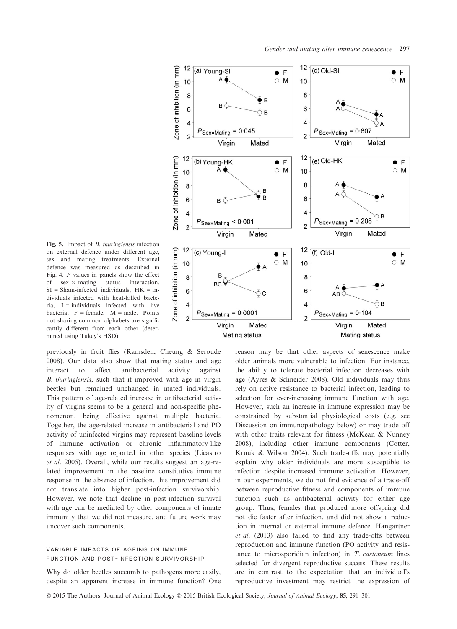

Fig. 5. Impact of *B. thuringiensis* infection on external defence under different age, sex and mating treatments. External defence was measured as described in Fig. 4. P values in panels show the effect of  $sex \times mating$  status interaction.  $SI = Sham-infected$  individuals,  $HK = in$ dividuals infected with heat-killed bacteria,  $I =$  individuals infected with live bacteria,  $F =$  female,  $M =$  male. Points not sharing common alphabets are significantly different from each other (determined using Tukey's HSD).

previously in fruit flies (Ramsden, Cheung & Seroude 2008). Our data also show that mating status and age interact to affect antibacterial activity against B. thuringiensis, such that it improved with age in virgin beetles but remained unchanged in mated individuals. This pattern of age-related increase in antibacterial activity of virgins seems to be a general and non-specific phenomenon, being effective against multiple bacteria. Together, the age-related increase in antibacterial and PO activity of uninfected virgins may represent baseline levels of immune activation or chronic inflammatory-like responses with age reported in other species (Licastro et al. 2005). Overall, while our results suggest an age-related improvement in the baseline constitutive immune response in the absence of infection, this improvement did not translate into higher post-infection survivorship. However, we note that decline in post-infection survival with age can be mediated by other components of innate immunity that we did not measure, and future work may uncover such components.

# variable impacts of ageing on immune function and post-infection survivorship

Why do older beetles succumb to pathogens more easily, despite an apparent increase in immune function? One

reason may be that other aspects of senescence make older animals more vulnerable to infection. For instance, the ability to tolerate bacterial infection decreases with age (Ayres & Schneider 2008). Old individuals may thus rely on active resistance to bacterial infection, leading to selection for ever-increasing immune function with age. However, such an increase in immune expression may be constrained by substantial physiological costs (e.g. see Discussion on immunopathology below) or may trade off with other traits relevant for fitness (McKean & Nunney 2008), including other immune components (Cotter, Kruuk & Wilson 2004). Such trade-offs may potentially explain why older individuals are more susceptible to infection despite increased immune activation. However, in our experiments, we do not find evidence of a trade-off between reproductive fitness and components of immune function such as antibacterial activity for either age group. Thus, females that produced more offspring did not die faster after infection, and did not show a reduction in internal or external immune defence. Hangartner et al. (2013) also failed to find any trade-offs between reproduction and immune function (PO activity and resistance to microsporidian infection) in T. castaneum lines selected for divergent reproductive success. These results are in contrast to the expectation that an individual's reproductive investment may restrict the expression of

© 2015 The Authors. Journal of Animal Ecology © 2015 British Ecological Society, Journal of Animal Ecology, 85, 291-301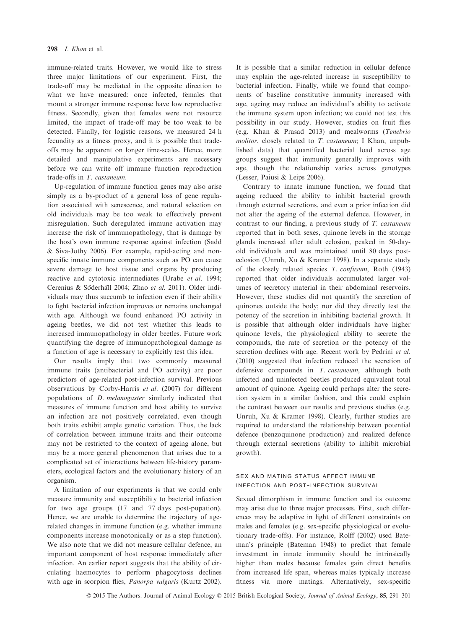immune-related traits. However, we would like to stress three major limitations of our experiment. First, the trade-off may be mediated in the opposite direction to what we have measured: once infected, females that mount a stronger immune response have low reproductive fitness. Secondly, given that females were not resource limited, the impact of trade-off may be too weak to be detected. Finally, for logistic reasons, we measured 24 h fecundity as a fitness proxy, and it is possible that tradeoffs may be apparent on longer time-scales. Hence, more detailed and manipulative experiments are necessary before we can write off immune function reproduction trade-offs in T. castaneum.

Up-regulation of immune function genes may also arise simply as a by-product of a general loss of gene regulation associated with senescence, and natural selection on old individuals may be too weak to effectively prevent misregulation. Such deregulated immune activation may increase the risk of immunopathology, that is damage by the host's own immune response against infection (Sadd & Siva-Jothy 2006). For example, rapid-acting and nonspecific innate immune components such as PO can cause severe damage to host tissue and organs by producing reactive and cytotoxic intermediates (Urabe et al. 1994; Cerenius & Söderhäll 2004; Zhao et al. 2011). Older individuals may thus succumb to infection even if their ability to fight bacterial infection improves or remains unchanged with age. Although we found enhanced PO activity in ageing beetles, we did not test whether this leads to increased immunopathology in older beetles. Future work quantifying the degree of immunopathological damage as a function of age is necessary to explicitly test this idea.

Our results imply that two commonly measured immune traits (antibacterial and PO activity) are poor predictors of age-related post-infection survival. Previous observations by Corby-Harris et al. (2007) for different populations of D. melanogaster similarly indicated that measures of immune function and host ability to survive an infection are not positively correlated, even though both traits exhibit ample genetic variation. Thus, the lack of correlation between immune traits and their outcome may not be restricted to the context of ageing alone, but may be a more general phenomenon that arises due to a complicated set of interactions between life-history parameters, ecological factors and the evolutionary history of an organism.

A limitation of our experiments is that we could only measure immunity and susceptibility to bacterial infection for two age groups (17 and 77 days post-pupation). Hence, we are unable to determine the trajectory of agerelated changes in immune function (e.g. whether immune components increase monotonically or as a step function). We also note that we did not measure cellular defence, an important component of host response immediately after infection. An earlier report suggests that the ability of circulating haemocytes to perform phagocytosis declines with age in scorpion flies, Panorpa vulgaris (Kurtz 2002). It is possible that a similar reduction in cellular defence may explain the age-related increase in susceptibility to bacterial infection. Finally, while we found that components of baseline constitutive immunity increased with age, ageing may reduce an individual's ability to activate the immune system upon infection; we could not test this possibility in our study. However, studies on fruit flies (e.g. Khan & Prasad 2013) and mealworms (Tenebrio molitor, closely related to T. castaneum; I Khan, unpublished data) that quantified bacterial load across age groups suggest that immunity generally improves with age, though the relationship varies across genotypes (Lesser, Paiusi & Leips 2006).

Contrary to innate immune function, we found that ageing reduced the ability to inhibit bacterial growth through external secretions, and even a prior infection did not alter the ageing of the external defence. However, in contrast to our finding, a previous study of T. castaneum reported that in both sexes, quinone levels in the storage glands increased after adult eclosion, peaked in 50-dayold individuals and was maintained until 80 days posteclosion (Unruh, Xu & Kramer 1998). In a separate study of the closely related species T. confusum, Roth (1943) reported that older individuals accumulated larger volumes of secretory material in their abdominal reservoirs. However, these studies did not quantify the secretion of quinones outside the body; nor did they directly test the potency of the secretion in inhibiting bacterial growth. It is possible that although older individuals have higher quinone levels, the physiological ability to secrete the compounds, the rate of secretion or the potency of the secretion declines with age. Recent work by Pedrini et al. (2010) suggested that infection reduced the secretion of defensive compounds in T. castaneum, although both infected and uninfected beetles produced equivalent total amount of quinone. Ageing could perhaps alter the secretion system in a similar fashion, and this could explain the contrast between our results and previous studies (e.g. Unruh, Xu & Kramer 1998). Clearly, further studies are required to understand the relationship between potential defence (benzoquinone production) and realized defence through external secretions (ability to inhibit microbial growth).

# sex and mating status affect immune infection and post-infection survival

Sexual dimorphism in immune function and its outcome may arise due to three major processes. First, such differences may be adaptive in light of different constraints on males and females (e.g. sex-specific physiological or evolutionary trade-offs). For instance, Rolff (2002) used Bateman's principle (Bateman 1948) to predict that female investment in innate immunity should be intrinsically higher than males because females gain direct benefits from increased life span, whereas males typically increase fitness via more matings. Alternatively, sex-specific

© 2015 The Authors. Journal of Animal Ecology © 2015 British Ecological Society, Journal of Animal Ecology, 85, 291–301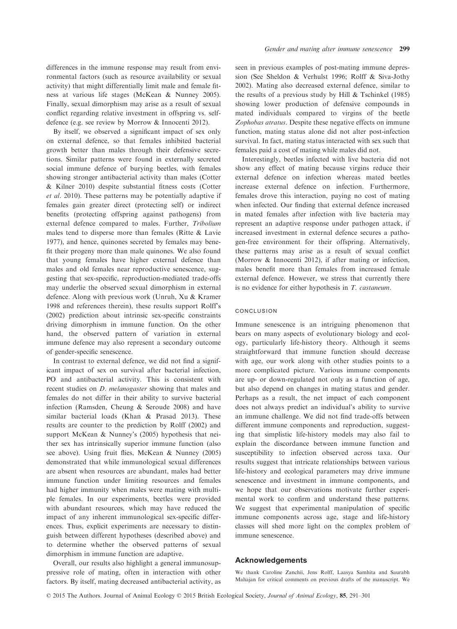differences in the immune response may result from environmental factors (such as resource availability or sexual activity) that might differentially limit male and female fitness at various life stages (McKean & Nunney 2005). Finally, sexual dimorphism may arise as a result of sexual conflict regarding relative investment in offspring vs. selfdefence (e.g. see review by Morrow & Innocenti 2012).

By itself, we observed a significant impact of sex only on external defence, so that females inhibited bacterial growth better than males through their defensive secretions. Similar patterns were found in externally secreted social immune defence of burying beetles, with females showing stronger antibacterial activity than males (Cotter & Kilner 2010) despite substantial fitness costs (Cotter et al. 2010). These patterns may be potentially adaptive if females gain greater direct (protecting self) or indirect benefits (protecting offspring against pathogens) from external defence compared to males. Further, Tribolium males tend to disperse more than females (Ritte & Lavie 1977), and hence, quinones secreted by females may benefit their progeny more than male quinones. We also found that young females have higher external defence than males and old females near reproductive senescence, suggesting that sex-specific, reproduction-mediated trade-offs may underlie the observed sexual dimorphism in external defence. Along with previous work (Unruh, Xu & Kramer 1998 and references therein), these results support Rolff's (2002) prediction about intrinsic sex-specific constraints driving dimorphism in immune function. On the other hand, the observed pattern of variation in external immune defence may also represent a secondary outcome of gender-specific senescence.

In contrast to external defence, we did not find a significant impact of sex on survival after bacterial infection, PO and antibacterial activity. This is consistent with recent studies on D. melanogaster showing that males and females do not differ in their ability to survive bacterial infection (Ramsden, Cheung & Seroude 2008) and have similar bacterial loads (Khan & Prasad 2013). These results are counter to the prediction by Rolff (2002) and support McKean & Nunney's (2005) hypothesis that neither sex has intrinsically superior immune function (also see above). Using fruit flies, McKean & Nunney (2005) demonstrated that while immunological sexual differences are absent when resources are abundant, males had better immune function under limiting resources and females had higher immunity when males were mating with multiple females. In our experiments, beetles were provided with abundant resources, which may have reduced the impact of any inherent immunological sex-specific differences. Thus, explicit experiments are necessary to distinguish between different hypotheses (described above) and to determine whether the observed patterns of sexual dimorphism in immune function are adaptive.

Overall, our results also highlight a general immunosuppressive role of mating, often in interaction with other factors. By itself, mating decreased antibacterial activity, as seen in previous examples of post-mating immune depression (See Sheldon & Verhulst 1996; Rolff & Siva-Jothy 2002). Mating also decreased external defence, similar to the results of a previous study by Hill & Tschinkel (1985) showing lower production of defensive compounds in mated individuals compared to virgins of the beetle Zophobas atratus. Despite these negative effects on immune function, mating status alone did not alter post-infection survival. In fact, mating status interacted with sex such that females paid a cost of mating while males did not.

Interestingly, beetles infected with live bacteria did not show any effect of mating because virgins reduce their external defence on infection whereas mated beetles increase external defence on infection. Furthermore, females drove this interaction, paying no cost of mating when infected. Our finding that external defence increased in mated females after infection with live bacteria may represent an adaptive response under pathogen attack, if increased investment in external defence secures a pathogen-free environment for their offspring. Alternatively, these patterns may arise as a result of sexual conflict (Morrow & Innocenti 2012), if after mating or infection, males benefit more than females from increased female external defence. However, we stress that currently there is no evidence for either hypothesis in T. castaneum.

## conclusion

Immune senescence is an intriguing phenomenon that bears on many aspects of evolutionary biology and ecology, particularly life-history theory. Although it seems straightforward that immune function should decrease with age, our work along with other studies points to a more complicated picture. Various immune components are up- or down-regulated not only as a function of age, but also depend on changes in mating status and gender. Perhaps as a result, the net impact of each component does not always predict an individual's ability to survive an immune challenge. We did not find trade-offs between different immune components and reproduction, suggesting that simplistic life-history models may also fail to explain the discordance between immune function and susceptibility to infection observed across taxa. Our results suggest that intricate relationships between various life-history and ecological parameters may drive immune senescence and investment in immune components, and we hope that our observations motivate further experimental work to confirm and understand these patterns. We suggest that experimental manipulation of specific immune components across age, stage and life-history classes will shed more light on the complex problem of immune senescence.

## Acknowledgements

We thank Caroline Zanchii, Jens Rolff, Laasya Samhita and Saurabh Mahajan for critical comments on previous drafts of the manuscript. We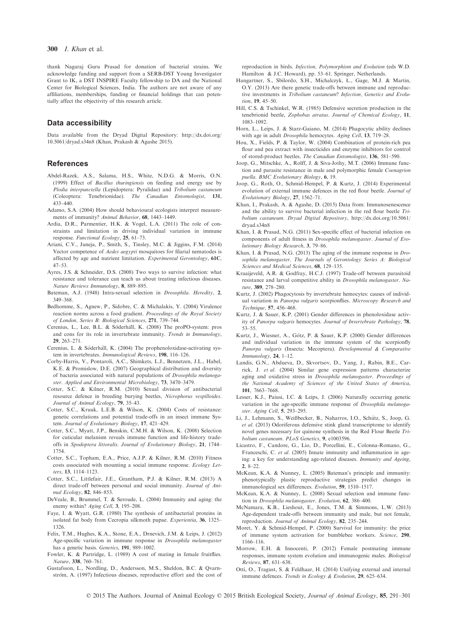thank Nagaraj Guru Prasad for donation of bacterial strains. We acknowledge funding and support from a SERB-DST Young Investigator Grant to IK, a DST INSPIRE Faculty fellowship to DA and the National Center for Biological Sciences, India. The authors are not aware of any affiliations, memberships, funding or financial holdings that can potentially affect the objectivity of this research article.

### Data accessibility

Data available from the Dryad Digital Repository: [http://dx.doi.org/](http://dx.doi.org/10.5061/dryad.s34n8) [10.5061/dryad.s34n8](http://dx.doi.org/10.5061/dryad.s34n8) (Khan, Prakash & Agashe 2015).

## References

- Abdel-Razek, A.S., Salama, H.S., White, N.D.G. & Morris, O.N. (1999) Effect of Bacillus thuringiensis on feeding and energy use by Plodia interpunctella (Lepidoptera: Pyralidae) and Tribolium castaneum (Coleoptera: Tenebrionidae). The Canadian Entomologist, 131, 433–440.
- Adamo, S.A. (2004) How should behavioural ecologists interpret measurements of immunity? Animal Behavior, 68, 1443–1449.
- Ardia, D.R., Parmentier, H.K. & Vogel, L.A. (2011) The role of constraints and limitation in driving individual variation in immune response. Functional Ecology, 25, 61–73.
- Ariani, C.V., Juneja, P., Smith, S., Tinsley, M.C. & Jiggins, F.M. (2014) Vector competence of Aedes aegypti mosquitoes for filarial nematodes is affected by age and nutrient limitation. Experimental Gerontology, 61C, 47–53.
- Ayres, J.S. & Schneider, D.S. (2008) Two ways to survive infection: what resistance and tolerance can teach us about treating infectious diseases. Nature Reviews Immunology, 8, 889–895.<br>teman - A. L. (1948). Intra-cexual, selecti.
- Bateman, A.J. (1948) Intra-sexual selection in *Drosophila. Heredity*, 2,  $\frac{340 \times 368}{\sqrt{10}}$ 349–368.
- Bedhomme, S., Agnew, P., Sidobre, C. & Michalakis, Y. (2004) Virulence reaction norms across a food gradient. Proceedings of the Royal Society of London, Series B: Biological Sciences, 271, 739–744.
- Cerenius, L., Lee, B.L. & Söderhäll, K. (2008) The proPO-system: pros and cons for its role in invertebrate immunity. Trends in Immunology, 29, 263–271.
- Cerenius, L. & Söderhäll, K. (2004) The prophenoloxidase-activating system in invertebrates. Immunological Reviews, 198, 116–126.
- Corby-Harris, V., Pontaroli, A.C., Shimkets, L.J., Bennetzen, J.L., Habel, K.E. & Promislow, D.E. (2007) Geographical distribution and diversity of bacteria associated with natural populations of Drosophila melanogaster. Applied and Environmental Microbiology, <sup>73</sup>, 3470–3479.
- Cotter, S.C. & Kilner, R.M. (2010) Sexual division of antibacterial resource defence in breeding burying beetles, Nicrophorus vespilloides.
- Journal of Animal Ecology, 79, 35–43.<br>Cotter, S.C., Kruuk, L.E.B. & Wilson, K. (2004) Costs of resistance: genetic correlations and potential trade-offs in an insect immune System. Journal of Evolutionary Biology, 17, 421-429.
- Cotter, S.C., Myatt, J.P., Benskin, C.M.H. & Wilson, K. (2008) Selection for cuticular melanism reveals immune function and life-history tradeoffs in Spodoptera littoralis. Journal of Evolutionary Biology, 21, 1744– 1754.
- Cotter, S.C., Topham, E.A., Price, A.J.P. & Kilner, R.M. (2010) Fitness costs associated with mounting a social immune response. Ecology Letters, 13, 1114–1123.
- Cotter, S.C., Littlefair, J.E., Grantham, P.J. & Kilner, R.M. (2013) A direct trade-off between personal and social immunity. Journal of Animal Ecology, 82, 846–853.
- DeVeale, B., Brummel, T. & Seroude, L. (2004) Immunity and aging: the enemy within? Aging Cell, 3, 195-208.
- Faye, I. & Wyatt, G.R. (1980) The synthesis of antibacterial proteins in isolated fat body from Cecropia silkmoth pupae. Experientia, 36, 1325– 1326.
- Felix, T.M., Hughes, K.A., Stone, E.A., Drnevich, J.M. & Leips, J. (2012) Age-specific variation in immune response in Drosophila melanogaster has a genetic basis. Genetics, 191, 989-1002.
- Fowler, K. & Partridge, L. (1989) A cost of mating in female fruitflies. Nature, 338, 760–761.
- Gustafsson, L., Nordling, D., Andersson, M.S., Sheldon, B.C. & Qvarnström, A. (1997) Infectious diseases, reproductive effort and the cost of

reproduction in birds. Infection, Polymorphism and Evolution (eds W.D. Hamilton & J.C. Howard), pp. 53–61. Springer, Netherlands.

- Hangartner, S., Sbilordo, S.H., Michalczyk, Ł., Gage, M.J. & Martin, O.Y. (2013) Are there genetic trade-offs between immune and reproductive investments in Tribolium castaneum? Infection, Genetics and Evolu-
- tion, 19, 45–50. Hill, C.S. & Tschinkel, W.R. (1985) Defensive secretion production in the tenebrionid beetle, Zophobas atratus. Journal of Chemical Ecology, 11, 1083–1092.
- Horn, L., Leips, J. & Starz-Gaiano, M. (2014) Phagocytic ability declines with age in adult Drosophila hemocytes. Aging Cell, 13, 719-28.
- Hou, X., Fields, P. & Taylor, W. (2004) Combination of protein-rich pea flour and pea extract with insecticides and enzyme inhibitors for control of stored-product beetles. The Canadian Entomologist, 136, 581–590.
- Joop, G., Mitschke, A., Rolff, J. & Siva-Jothy, M.T. (2006) Immune function and parasite resistance in male and polymorphic female Coenagrion puella. BMC Evolutionary Biology, 6, 19.
- Joop, G., Roth, O., Schmid-Hempel, P. & Kurtz, J. (2014) Experimental evolution of external immune defences in the red flour beetle. Journal of Evolutionary Biology, 27, 1562–71.
- Khan, I., Prakash, A. & Agashe, D. (2015) Data from: Immunosenescence and the ability to survive bacterial infection in the red flour beetle Tribolium castaneum. Dryad Digital Repository, [http://dx.doi.org/10.5061/](http://dx.doi.org/10.5061/dryad.s34n8) [dryad.s34n8](http://dx.doi.org/10.5061/dryad.s34n8)
- Khan, I. & Prasad, N.G. (2011) Sex-specific effect of bacterial infection on components of adult fitness in *Drosophila melanogaster. Journal of Evo-lutionary Biology Research*, 3, 79–86.
- lutionary Biology Research, 3, 79–86. Khan, I. & Prasad, N.G. (2013) The aging of the immune response in Drosophila melanogaster. The Journals of Gerontology Series A: Biological Sciences and Medical Sciences, 68, 129-135.
- Kraaijeveld, A.R. & Godfray, H.C.J. (1997) Trade-off between parasitoid resistance and larval competitive ability in Drosophila melanogaster. Na-
- ture, 389, 278–280. Kurtz, J. (2002) Phagocytosis by invertebrate hemocytes: causes of individual variation in Panorpa vulgaris scorpionflies. Microscopy Research and Technique, <sup>57</sup>, 456–468.
- Kurtz, J. & Sauer, K.P. (2001) Gender differences in phenoloxidase activity of Panorpa vulgaris hemocytes. Journal of Invertebrate Pathology, 78, 53–55.
- Kurtz, J., Wiesner, A., Götz, P. & Sauer, K.P. (2000) Gender differences and individual variation in the immune system of the scorpionfly Panorpa vulgaris (Insecta: Mecoptera). Developmental & Comparative Immunology, 24, 1–12.
- Landis, G.N., Abdueva, D., Skvortsov, D., Yang, J., Rabin, B.E., Carrick, J. et al. (2004) Similar gene expression patterns characterize aging and oxidative stress in Drosophila melanogaster. Proceedings of the National Academy of Sciences of the United States of America, 101, 7663–7668.
- Lesser, K.J., Paiusi, I.C. & Leips, J. (2006) Naturally occurring genetic variation in the age-specific immune response of *Drosophila melanoga*ster. Aging Cell, 5, 293–295.
- Li, J., Lehmann, S., Weißbecker, B., Naharros, L.O., Schütz, S., Joon, G. et al. (2013) Odoriferous defensive stink gland transcriptome to identify novel genes necessary for quinone synthesis in the Red Flour Beetle Tribolium castaneum. PLoS Genetics, 9, e1003596.
- Licastro, F., Candore, G., Lio, D., Porcellini, E., Colonna-Romano, G., Franceschi, C. et al. (2005) Innate immunity and inflammation in ageing: a key for understanding age-related diseases. Immunity and Ageing,
- 2, 8–22. McKean, K.A. & Nunney, L. (2005) Bateman's principle and immunity: phenotypically plastic reproductive strategies predict changes in immunological sex differences. Evolution, 59, 1510-1517.
- McKean, K.A. & Nunney, L. (2008) Sexual selection and immune function in Drosophila melanogaster. Evolution, 62, 386-400.
- McNamara, K.B., Lieshout, E., Jones, T.M. & Simmons, L.W. (2013) Age-dependent trade-offs between immunity and male, but not female, reproduction. Journal of Animal Ecology, 82, 235–244.
- Moret, Y. & Schmid-Hempel, P. (2000) Survival for immunity: the price of immune system activation for bumblebee workers. Science, 290, 1166–116.
- Morrow, E.H. & Innocenti, P. (2012) Female postmating immune responses, immune system evolution and immunogenic males. Biological Reviews, 87, 631–638.
- Otti, O., Tragust, S. & Feldhaar, H. (2014) Unifying external and internal immune defences. Trends in Ecology & Evolution, 29, 625–634.